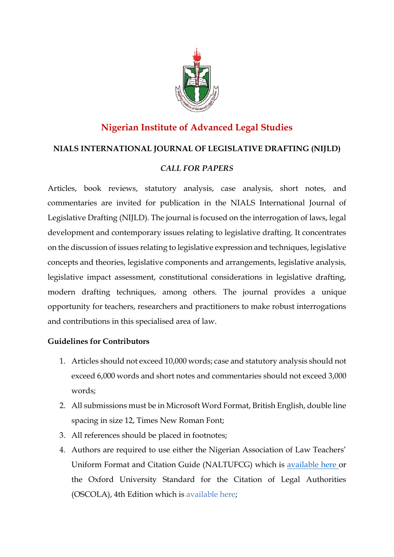

# **Nigerian Institute of Advanced Legal Studies**

## **NIALS INTERNATIONAL JOURNAL OF LEGISLATIVE DRAFTING (NIJLD)**

## *CALL FOR PAPERS*

Articles, book reviews, statutory analysis, case analysis, short notes, and commentaries are invited for publication in the NIALS International Journal of Legislative Drafting (NIJLD). The journal is focused on the interrogation of laws, legal development and contemporary issues relating to legislative drafting. It concentrates on the discussion of issues relating to legislative expression and techniques, legislative concepts and theories, legislative components and arrangements, legislative analysis, legislative impact assessment, constitutional considerations in legislative drafting, modern drafting techniques, among others. The journal provides a unique opportunity for teachers, researchers and practitioners to make robust interrogations and contributions in this specialised area of law.

### **Guidelines for Contributors**

- 1. Articles should not exceed 10,000 words; case and statutory analysis should not exceed 6,000 words and short notes and commentaries should not exceed 3,000 words;
- 2. All submissions must be in Microsoft Word Format, British English, double line spacing in size 12, Times New Roman Font;
- 3. All references should be placed in footnotes;
- 4. Authors are required to use either the Nigerian Association of Law Teachers' Uniform Format and Citation Guide (NALTUFCG) which is [available here o](about:blank)r the Oxford University Standard for the Citation of Legal Authorities (OSCOLA), 4th Edition which is [available here;](about:blank)